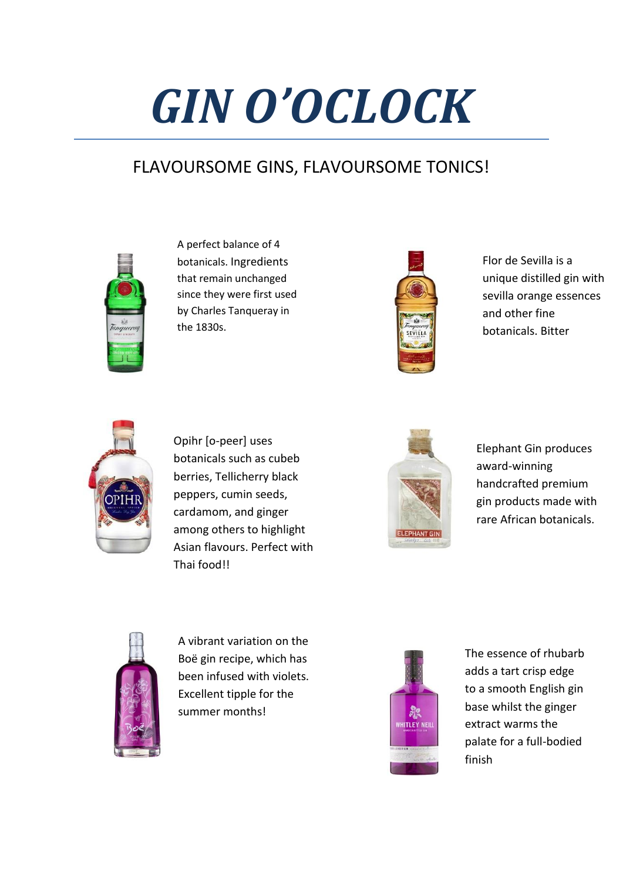## *GIN O'OCLOCK*

## FLAVOURSOME GINS, FLAVOURSOME TONICS!



A perfect balance of 4 botanicals. Ingredients that remain unchanged since they were first used by Charles Tanqueray in the 1830s.



Flor de Sevilla is a unique distilled gin with sevilla orange essences and other fine botanicals. Bitter



Opihr [o-peer] uses botanicals such as cubeb berries, Tellicherry black peppers, cumin seeds, cardamom, and ginger among others to highlight Asian flavours. Perfect with Thai food!!



Elephant Gin produces award-winning handcrafted premium gin products made with rare African botanicals.



A vibrant variation on the Boë gin recipe, which has been infused with violets. Excellent tipple for the summer months!



The essence of rhubarb adds a tart crisp edge to a smooth English gin base whilst the ginger extract warms the palate for a full-bodied finish